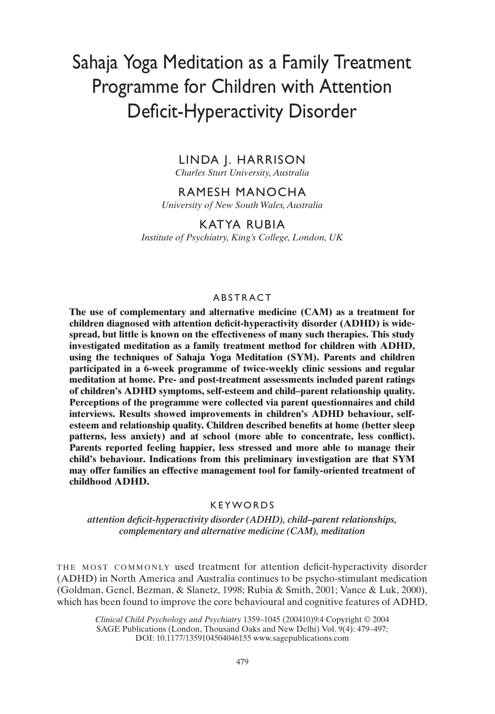# Sahaja Yoga Meditation as a Family Treatment Programme for Children with Attention Deficit-Hyperactivity Disorder

[LINDA J. HARRISON](#page-1-0)

*Charles Sturt University, Australia*

[RAMESH MANOCHA](#page-1-0) *University of New South Wales, Australia*

[KATYA RUBIA](#page-1-0) *Institute of Psychiatry, King's College, London, UK*

# ABSTRACT

**The use of complementary and alternative medicine (CAM) as a treatment for children diagnosed with attention deficit-hyperactivity disorder (ADHD) is widespread, but little is known on the effectiveness of many such therapies. This study investigated meditation as a family treatment method for children with ADHD, using the techniques of Sahaja Yoga Meditation (SYM). Parents and children participated in a 6-week programme of twice-weekly clinic sessions and regular meditation at home. Pre- and post-treatment assessments included parent ratings of children's ADHD symptoms, self-esteem and child–parent relationship quality. Perceptions of the programme were collected via parent questionnaires and child interviews. Results showed improvements in children's ADHD behaviour, selfesteem and relationship quality. Children described benefits at home (better sleep patterns, less anxiety) and at school (more able to concentrate, less conflict). Parents reported feeling happier, less stressed and more able to manage their child's behaviour. Indications from this preliminary investigation are that SYM may offer families an effective management tool for family-oriented treatment of childhood ADHD.**

# KEYWORDS

*attention deficit-hyperactivity disorder (ADHD), child–parent relationships, complementary and alternative medicine (CAM), meditation*

THE MOST COMMONLY used treatment for attention deficit-hyperactivity disorder (ADHD) in North America and Australia continues to be psycho-stimulant medication (Goldman, Genel, Bezman, & Slanetz, 1998; Rubia & Smith, 2001; Vance & Luk, 2000), which has been found to improve the core behavioural and cognitive features of ADHD,

*Clinical Child Psychology and Psychiatry* 1359–1045 (200410)9:4 Copyright © 2004 SAGE Publications (London, Thousand Oaks and New Delhi) Vol. 9(4): 479–497; DOI: 10.1177/1359104504046155<www.sagepublications.com>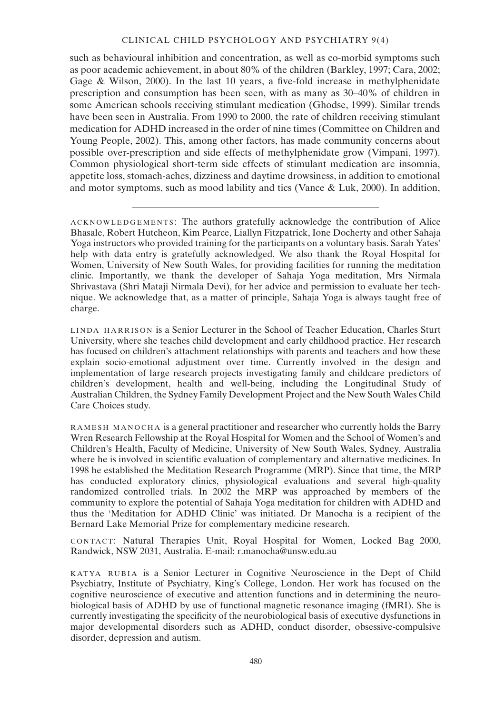<span id="page-1-0"></span>such as behavioural inhibition and concentration, as well as co-morbid symptoms such as poor academic achievement, in about 80% of the children (Barkley, 1997; Cara, 2002; Gage & Wilson, 2000). In the last 10 years, a five-fold increase in methylphenidate prescription and consumption has been seen, with as many as 30–40% of children in some American schools receiving stimulant medication (Ghodse, 1999). Similar trends have been seen in Australia. From 1990 to 2000, the rate of children receiving stimulant medication for ADHD increased in the order of nine times (Committee on Children and Young People, 2002). This, among other factors, has made community concerns about possible over-prescription and side effects of methylphenidate grow (Vimpani, 1997). Common physiological short-term side effects of stimulant medication are insomnia, appetite loss, stomach-aches, dizziness and daytime drowsiness, in addition to emotional and motor symptoms, such as mood lability and tics (Vance & Luk, 2000). In addition,

ACKNOWLEDGEMENTS : The authors gratefully acknowledge the contribution of Alice Bhasale, Robert Hutcheon, Kim Pearce, Liallyn Fitzpatrick, Ione Docherty and other Sahaja Yoga instructors who provided training for the participants on a voluntary basis. Sarah Yates' help with data entry is gratefully acknowledged. We also thank the Royal Hospital for Women, University of New South Wales, for providing facilities for running the meditation clinic. Importantly, we thank the developer of Sahaja Yoga meditation, Mrs Nirmala Shrivastava (Shri Mataji Nirmala Devi), for her advice and permission to evaluate her technique. We acknowledge that, as a matter of principle, Sahaja Yoga is always taught free of charge.

LINDA HARRISON is a Senior Lecturer in the School of Teacher Education, Charles Sturt University, where she teaches child development and early childhood practice. Her research has focused on children's attachment relationships with parents and teachers and how these explain socio-emotional adjustment over time. Currently involved in the design and implementation of large research projects investigating family and childcare predictors of children's development, health and well-being, including the Longitudinal Study of Australian Children, the Sydney Family Development Project and the New South Wales Child Care Choices study.

RAMESH MANOCHA is a general practitioner and researcher who currently holds the Barry Wren Research Fellowship at the Royal Hospital for Women and the School of Women's and Children's Health, Faculty of Medicine, University of New South Wales, Sydney, Australia where he is involved in scientific evaluation of complementary and alternative medicines. In 1998 he established the Meditation Research Programme (MRP). Since that time, the MRP has conducted exploratory clinics, physiological evaluations and several high-quality randomized controlled trials. In 2002 the MRP was approached by members of the community to explore the potential of Sahaja Yoga meditation for children with ADHD and thus the 'Meditation for ADHD Clinic' was initiated. Dr Manocha is a recipient of the Bernard Lake Memorial Prize for complementary medicine research.

CONTACT: Natural Therapies Unit, Royal Hospital for Women, Locked Bag 2000, Randwick, NSW 2031, Australia. E-mail: r.manocha@unsw.edu.au

KATYA RUBIA is a Senior Lecturer in Cognitive Neuroscience in the Dept of Child Psychiatry, Institute of Psychiatry, King's College, London. Her work has focused on the cognitive neuroscience of executive and attention functions and in determining the neurobiological basis of ADHD by use of functional magnetic resonance imaging (fMRI). She is currently investigating the specificity of the neurobiological basis of executive dysfunctions in major developmental disorders such as ADHD, conduct disorder, obsessive-compulsive disorder, depression and autism.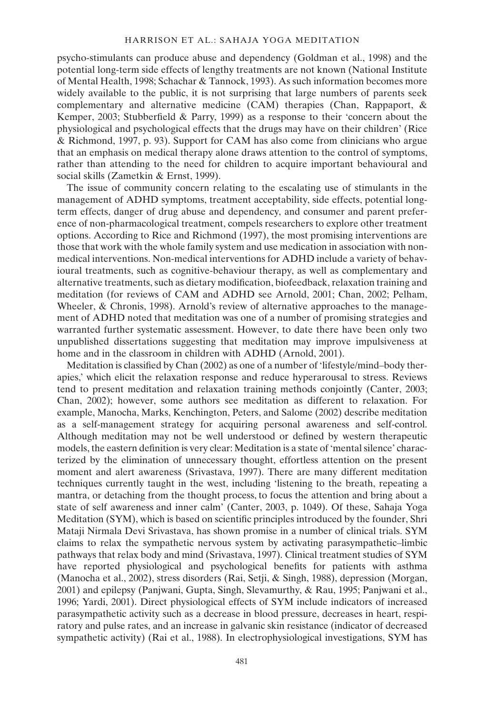psycho-stimulants can produce abuse and dependency (Goldman et al., 1998) and the potential long-term side effects of lengthy treatments are not known (National Institute of Mental Health, 1998; Schachar & Tannock, 1993). As such information becomes more widely available to the public, it is not surprising that large numbers of parents seek complementary and alternative medicine (CAM) therapies (Chan, Rappaport, & Kemper, 2003; Stubberfield & Parry, 1999) as a response to their 'concern about the physiological and psychological effects that the drugs may have on their children' (Rice & Richmond, 1997, p. 93). Support for CAM has also come from clinicians who argue that an emphasis on medical therapy alone draws attention to the control of symptoms, rather than attending to the need for children to acquire important behavioural and social skills (Zametkin & Ernst, 1999).

The issue of community concern relating to the escalating use of stimulants in the management of ADHD symptoms, treatment acceptability, side effects, potential longterm effects, danger of drug abuse and dependency, and consumer and parent preference of non-pharmacological treatment, compels researchers to explore other treatment options. According to Rice and Richmond (1997), the most promising interventions are those that work with the whole family system and use medication in association with nonmedical interventions. Non-medical interventions for ADHD include a variety of behavioural treatments, such as cognitive-behaviour therapy, as well as complementary and alternative treatments, such as dietary modification, biofeedback, relaxation training and meditation (for reviews of CAM and ADHD see Arnold, 2001; Chan, 2002; Pelham, Wheeler, & Chronis, 1998). Arnold's review of alternative approaches to the management of ADHD noted that meditation was one of a number of promising strategies and warranted further systematic assessment. However, to date there have been only two unpublished dissertations suggesting that meditation may improve impulsiveness at home and in the classroom in children with ADHD (Arnold, 2001).

Meditation is classified by Chan (2002) as one of a number of 'lifestyle/mind–body therapies,' which elicit the relaxation response and reduce hyperarousal to stress. Reviews tend to present meditation and relaxation training methods conjointly (Canter, 2003; Chan, 2002); however, some authors see meditation as different to relaxation. For example, Manocha, Marks, Kenchington, Peters, and Salome (2002) describe meditation as a self-management strategy for acquiring personal awareness and self-control. Although meditation may not be well understood or defined by western therapeutic models, the eastern definition is very clear: Meditation is a state of 'mental silence' characterized by the elimination of unnecessary thought, effortless attention on the present moment and alert awareness (Srivastava, 1997). There are many different meditation techniques currently taught in the west, including 'listening to the breath, repeating a mantra, or detaching from the thought process, to focus the attention and bring about a state of self awareness and inner calm' (Canter, 2003, p. 1049). Of these, Sahaja Yoga Meditation (SYM), which is based on scientific principles introduced by the founder, Shri Mataji Nirmala Devi Srivastava, has shown promise in a number of clinical trials. SYM claims to relax the sympathetic nervous system by activating parasympathetic–limbic pathways that relax body and mind (Srivastava, 1997). Clinical treatment studies of SYM have reported physiological and psychological benefits for patients with asthma (Manocha et al., 2002), stress disorders (Rai, Setji, & Singh, 1988), depression (Morgan, 2001) and epilepsy (Panjwani, Gupta, Singh, Slevamurthy, & Rau, 1995; Panjwani et al., 1996; Yardi, 2001). Direct physiological effects of SYM include indicators of increased parasympathetic activity such as a decrease in blood pressure, decreases in heart, respiratory and pulse rates, and an increase in galvanic skin resistance (indicator of decreased sympathetic activity) (Rai et al., 1988). In electrophysiological investigations, SYM has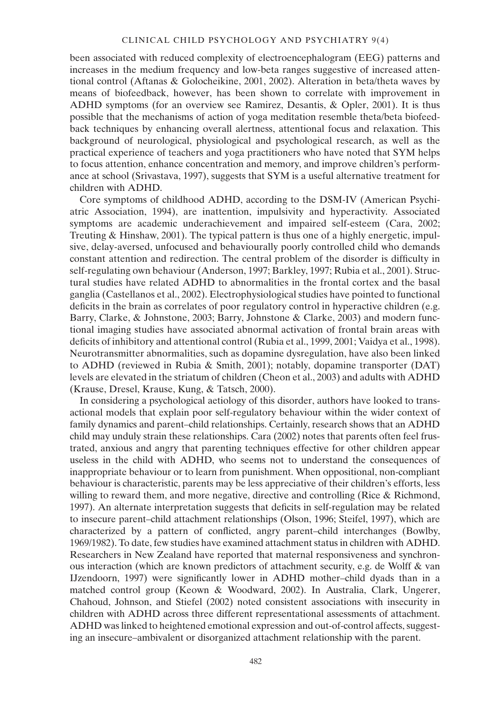been associated with reduced complexity of electroencephalogram (EEG) patterns and increases in the medium frequency and low-beta ranges suggestive of increased attentional control (Aftanas & Golocheikine, 2001, 2002). Alteration in beta/theta waves by means of biofeedback, however, has been shown to correlate with improvement in ADHD symptoms (for an overview see Ramirez, Desantis, & Opler, 2001). It is thus possible that the mechanisms of action of yoga meditation resemble theta/beta biofeedback techniques by enhancing overall alertness, attentional focus and relaxation. This background of neurological, physiological and psychological research, as well as the practical experience of teachers and yoga practitioners who have noted that SYM helps to focus attention, enhance concentration and memory, and improve children's performance at school (Srivastava, 1997), suggests that SYM is a useful alternative treatment for children with ADHD.

Core symptoms of childhood ADHD, according to the DSM-IV (American Psychiatric Association, 1994), are inattention, impulsivity and hyperactivity. Associated symptoms are academic underachievement and impaired self-esteem (Cara, 2002; Treuting  $&$  Hinshaw, 2001). The typical pattern is thus one of a highly energetic, impulsive, delay-aversed, unfocused and behaviourally poorly controlled child who demands constant attention and redirection. The central problem of the disorder is difficulty in self-regulating own behaviour (Anderson, 1997; Barkley, 1997; Rubia et al., 2001). Structural studies have related ADHD to abnormalities in the frontal cortex and the basal ganglia (Castellanos et al., 2002). Electrophysiological studies have pointed to functional deficits in the brain as correlates of poor regulatory control in hyperactive children (e.g. Barry, Clarke, & Johnstone, 2003; Barry, Johnstone & Clarke, 2003) and modern functional imaging studies have associated abnormal activation of frontal brain areas with deficits of inhibitory and attentional control (Rubia et al., 1999, 2001; Vaidya et al., 1998). Neurotransmitter abnormalities, such as dopamine dysregulation, have also been linked to ADHD (reviewed in Rubia & Smith, 2001); notably, dopamine transporter (DAT) levels are elevated in the striatum of children (Cheon et al., 2003) and adults with ADHD (Krause, Dresel, Krause, Kung, & Tatsch, 2000).

In considering a psychological aetiology of this disorder, authors have looked to transactional models that explain poor self-regulatory behaviour within the wider context of family dynamics and parent–child relationships. Certainly, research shows that an ADHD child may unduly strain these relationships. Cara (2002) notes that parents often feel frustrated, anxious and angry that parenting techniques effective for other children appear useless in the child with ADHD, who seems not to understand the consequences of inappropriate behaviour or to learn from punishment. When oppositional, non-compliant behaviour is characteristic, parents may be less appreciative of their children's efforts, less willing to reward them, and more negative, directive and controlling (Rice & Richmond, 1997). An alternate interpretation suggests that deficits in self-regulation may be related to insecure parent–child attachment relationships (Olson, 1996; Steifel, 1997), which are characterized by a pattern of conflicted, angry parent–child interchanges (Bowlby, 1969/1982). To date, few studies have examined attachment status in children with ADHD. Researchers in New Zealand have reported that maternal responsiveness and synchronous interaction (which are known predictors of attachment security, e.g. de Wolff & van IJzendoorn, 1997) were significantly lower in ADHD mother–child dyads than in a matched control group (Keown & Woodward, 2002). In Australia, Clark, Ungerer, Chahoud, Johnson, and Stiefel (2002) noted consistent associations with insecurity in children with ADHD across three different representational assessments of attachment. ADHD was linked to heightened emotional expression and out-of-control affects, suggesting an insecure–ambivalent or disorganized attachment relationship with the parent.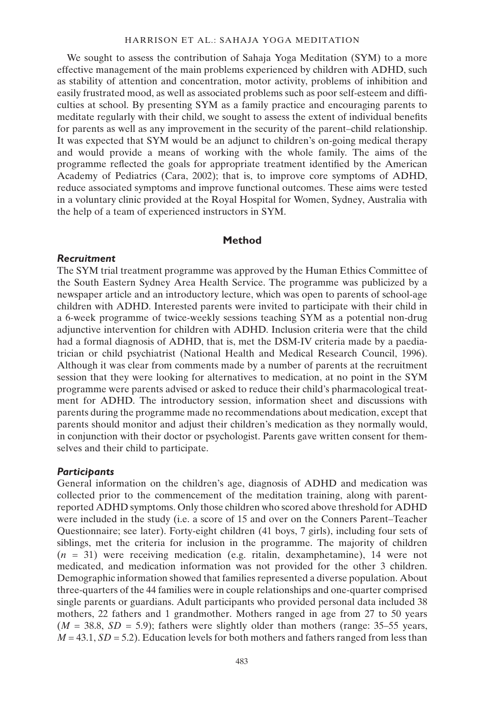We sought to assess the contribution of Sahaja Yoga Meditation (SYM) to a more effective management of the main problems experienced by children with ADHD, such as stability of attention and concentration, motor activity, problems of inhibition and easily frustrated mood, as well as associated problems such as poor self-esteem and difficulties at school. By presenting SYM as a family practice and encouraging parents to meditate regularly with their child, we sought to assess the extent of individual benefits for parents as well as any improvement in the security of the parent–child relationship. It was expected that SYM would be an adjunct to children's on-going medical therapy and would provide a means of working with the whole family. The aims of the programme reflected the goals for appropriate treatment identified by the American Academy of Pediatrics (Cara, 2002); that is, to improve core symptoms of ADHD, reduce associated symptoms and improve functional outcomes. These aims were tested in a voluntary clinic provided at the Royal Hospital for Women, Sydney, Australia with the help of a team of experienced instructors in SYM.

#### **Method**

# *Recruitment*

The SYM trial treatment programme was approved by the Human Ethics Committee of the South Eastern Sydney Area Health Service. The programme was publicized by a newspaper article and an introductory lecture, which was open to parents of school-age children with ADHD. Interested parents were invited to participate with their child in a 6-week programme of twice-weekly sessions teaching SYM as a potential non-drug adjunctive intervention for children with ADHD. Inclusion criteria were that the child had a formal diagnosis of ADHD, that is, met the DSM-IV criteria made by a paediatrician or child psychiatrist (National Health and Medical Research Council, 1996). Although it was clear from comments made by a number of parents at the recruitment session that they were looking for alternatives to medication, at no point in the SYM programme were parents advised or asked to reduce their child's pharmacological treatment for ADHD. The introductory session, information sheet and discussions with parents during the programme made no recommendations about medication, except that parents should monitor and adjust their children's medication as they normally would, in conjunction with their doctor or psychologist. Parents gave written consent for themselves and their child to participate.

#### *Participants*

General information on the children's age, diagnosis of ADHD and medication was collected prior to the commencement of the meditation training, along with parentreported ADHD symptoms. Only those children who scored above threshold for ADHD were included in the study (i.e. a score of 15 and over on the Conners Parent–Teacher Questionnaire; see later). Forty-eight children (41 boys, 7 girls), including four sets of siblings, met the criteria for inclusion in the programme. The majority of children (*n* = 31) were receiving medication (e.g. ritalin, dexamphetamine), 14 were not medicated, and medication information was not provided for the other 3 children. Demographic information showed that families represented a diverse population. About three-quarters of the 44 families were in couple relationships and one-quarter comprised single parents or guardians. Adult participants who provided personal data included 38 mothers, 22 fathers and 1 grandmother. Mothers ranged in age from 27 to 50 years  $(M = 38.8, SD = 5.9)$ ; fathers were slightly older than mothers (range: 35–55 years,  $M = 43.1$ ,  $SD = 5.2$ ). Education levels for both mothers and fathers ranged from less than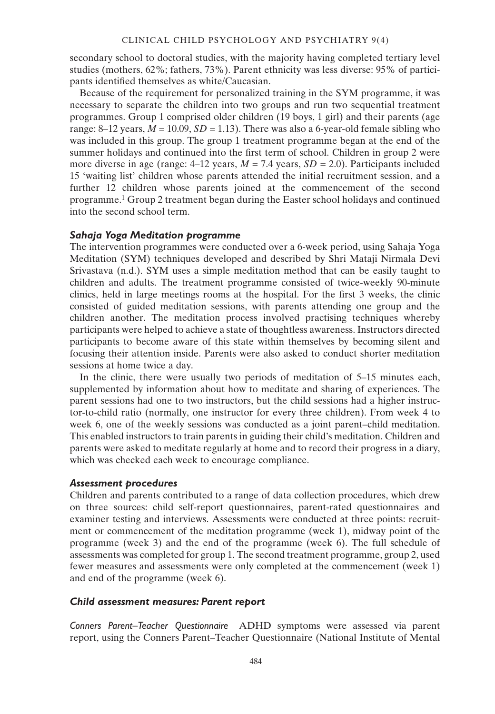secondary school to doctoral studies, with the majority having completed tertiary level studies (mothers, 62%; fathers, 73%). Parent ethnicity was less diverse: 95% of participants identified themselves as white/Caucasian.

Because of the requirement for personalized training in the SYM programme, it was necessary to separate the children into two groups and run two sequential treatment programmes. Group 1 comprised older children (19 boys, 1 girl) and their parents (age range:  $8-12$  years,  $M = 10.09$ ,  $SD = 1.13$ ). There was also a 6-year-old female sibling who was included in this group. The group 1 treatment programme began at the end of the summer holidays and continued into the first term of school. Children in group 2 were more diverse in age (range:  $4-12$  years,  $M = 7.4$  years,  $SD = 2.0$ ). Participants included 15 'waiting list' children whose parents attended the initial recruitment session, and a further 12 children whose parents joined at the commencement of the second programme.1 Group 2 treatment began during the Easter school holidays and continued into the second school term.

# *Sahaja Yoga Meditation programme*

The intervention programmes were conducted over a 6-week period, using Sahaja Yoga Meditation (SYM) techniques developed and described by Shri Mataji Nirmala Devi Srivastava (n.d.). SYM uses a simple meditation method that can be easily taught to children and adults. The treatment programme consisted of twice-weekly 90-minute clinics, held in large meetings rooms at the hospital. For the first 3 weeks, the clinic consisted of guided meditation sessions, with parents attending one group and the children another. The meditation process involved practising techniques whereby participants were helped to achieve a state of thoughtless awareness. Instructors directed participants to become aware of this state within themselves by becoming silent and focusing their attention inside. Parents were also asked to conduct shorter meditation sessions at home twice a day.

In the clinic, there were usually two periods of meditation of 5–15 minutes each, supplemented by information about how to meditate and sharing of experiences. The parent sessions had one to two instructors, but the child sessions had a higher instructor-to-child ratio (normally, one instructor for every three children). From week 4 to week 6, one of the weekly sessions was conducted as a joint parent–child meditation. This enabled instructors to train parents in guiding their child's meditation. Children and parents were asked to meditate regularly at home and to record their progress in a diary, which was checked each week to encourage compliance.

### *Assessment procedures*

Children and parents contributed to a range of data collection procedures, which drew on three sources: child self-report questionnaires, parent-rated questionnaires and examiner testing and interviews. Assessments were conducted at three points: recruitment or commencement of the meditation programme (week 1), midway point of the programme (week 3) and the end of the programme (week 6). The full schedule of assessments was completed for group 1. The second treatment programme, group 2, used fewer measures and assessments were only completed at the commencement (week 1) and end of the programme (week 6).

# *Child assessment measures: Parent report*

*Conners Parent–Teacher Questionnaire* ADHD symptoms were assessed via parent report, using the Conners Parent–Teacher Questionnaire (National Institute of Mental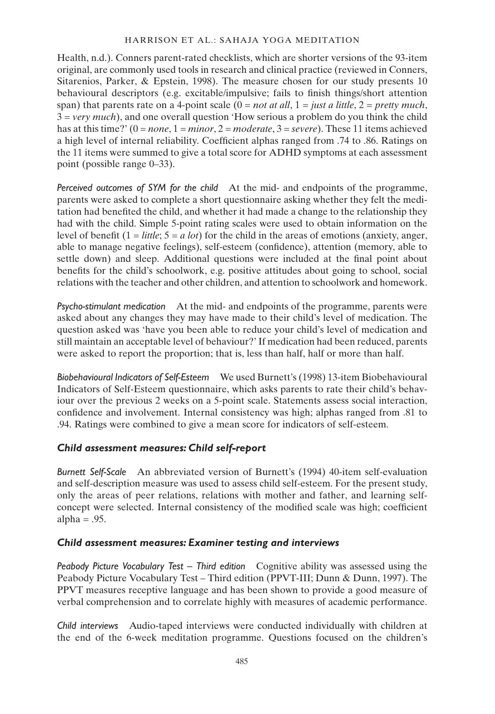Health, n.d.). Conners parent-rated checklists, which are shorter versions of the 93-item original, are commonly used tools in research and clinical practice (reviewed in Conners, Sitarenios, Parker, & Epstein, 1998). The measure chosen for our study presents 10 behavioural descriptors (e.g. excitable/impulsive; fails to finish things/short attention span) that parents rate on a 4-point scale (0 = *not at all*, 1 = *just a little*, 2 = *pretty much*, 3 = *very much*), and one overall question 'How serious a problem do you think the child has at this time?'  $(0 = none, 1 = minor, 2 = moderate, 3 = severe)$ . These 11 items achieved a high level of internal reliability. Coefficient alphas ranged from .74 to .86. Ratings on the 11 items were summed to give a total score for ADHD symptoms at each assessment point (possible range 0–33).

*Perceived outcomes of SYM for the child* At the mid- and endpoints of the programme, parents were asked to complete a short questionnaire asking whether they felt the meditation had benefited the child, and whether it had made a change to the relationship they had with the child. Simple 5-point rating scales were used to obtain information on the level of benefit (1 = *little*; 5 = *a lot*) for the child in the areas of emotions (anxiety, anger, able to manage negative feelings), self-esteem (confidence), attention (memory, able to settle down) and sleep. Additional questions were included at the final point about benefits for the child's schoolwork, e.g. positive attitudes about going to school, social relations with the teacher and other children, and attention to schoolwork and homework.

*Psycho-stimulant medication* At the mid- and endpoints of the programme, parents were asked about any changes they may have made to their child's level of medication. The question asked was 'have you been able to reduce your child's level of medication and still maintain an acceptable level of behaviour?' If medication had been reduced, parents were asked to report the proportion; that is, less than half, half or more than half.

*Biobehavioural Indicators of Self-Esteem* We used Burnett's (1998) 13-item Biobehavioural Indicators of Self-Esteem questionnaire, which asks parents to rate their child's behaviour over the previous 2 weeks on a 5-point scale. Statements assess social interaction, confidence and involvement. Internal consistency was high; alphas ranged from .81 to .94. Ratings were combined to give a mean score for indicators of self-esteem.

# *Child assessment measures: Child self-report*

*Burnett Self-Scale* An abbreviated version of Burnett's (1994) 40-item self-evaluation and self-description measure was used to assess child self-esteem. For the present study, only the areas of peer relations, relations with mother and father, and learning selfconcept were selected. Internal consistency of the modified scale was high; coefficient alpha  $= .95$ .

# *Child assessment measures: Examiner testing and interviews*

*Peabody Picture Vocabulary Test – Third edition* Cognitive ability was assessed using the Peabody Picture Vocabulary Test – Third edition (PPVT-III; Dunn & Dunn, 1997). The PPVT measures receptive language and has been shown to provide a good measure of verbal comprehension and to correlate highly with measures of academic performance.

*Child interviews* Audio-taped interviews were conducted individually with children at the end of the 6-week meditation programme. Questions focused on the children's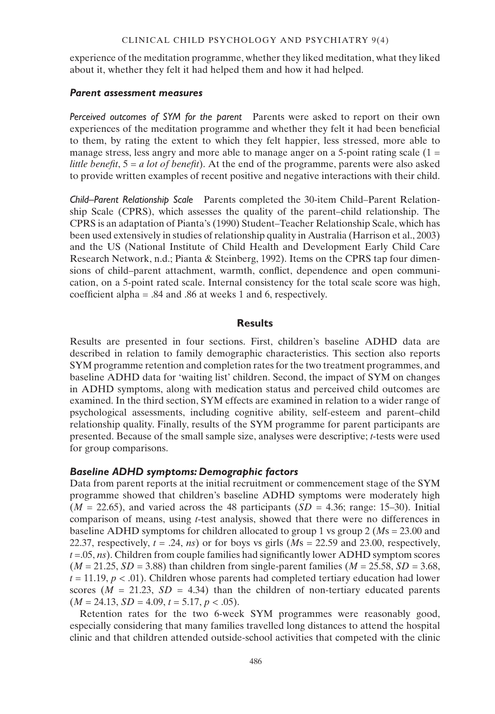experience of the meditation programme, whether they liked meditation, what they liked about it, whether they felt it had helped them and how it had helped.

# *Parent assessment measures*

*Perceived outcomes of SYM for the parent* Parents were asked to report on their own experiences of the meditation programme and whether they felt it had been beneficial to them, by rating the extent to which they felt happier, less stressed, more able to manage stress, less angry and more able to manage anger on a 5-point rating scale  $(1 =$ *little benefit*, 5 = *a lot of benefit*). At the end of the programme, parents were also asked to provide written examples of recent positive and negative interactions with their child.

*Child–Parent Relationship Scale* Parents completed the 30-item Child–Parent Relationship Scale (CPRS), which assesses the quality of the parent–child relationship. The CPRS is an adaptation of Pianta's (1990) Student–Teacher Relationship Scale, which has been used extensively in studies of relationship quality in Australia (Harrison et al., 2003) and the US (National Institute of Child Health and Development Early Child Care Research Network, n.d.; Pianta & Steinberg, 1992). Items on the CPRS tap four dimensions of child–parent attachment, warmth, conflict, dependence and open communication, on a 5-point rated scale. Internal consistency for the total scale score was high, coefficient alpha = .84 and .86 at weeks 1 and 6, respectively.

# **Results**

Results are presented in four sections. First, children's baseline ADHD data are described in relation to family demographic characteristics. This section also reports SYM programme retention and completion rates for the two treatment programmes, and baseline ADHD data for 'waiting list' children. Second, the impact of SYM on changes in ADHD symptoms, along with medication status and perceived child outcomes are examined. In the third section, SYM effects are examined in relation to a wider range of psychological assessments, including cognitive ability, self-esteem and parent–child relationship quality. Finally, results of the SYM programme for parent participants are presented. Because of the small sample size, analyses were descriptive; *t-*tests were used for group comparisons.

## *Baseline ADHD symptoms: Demographic factors*

Data from parent reports at the initial recruitment or commencement stage of the SYM programme showed that children's baseline ADHD symptoms were moderately high  $(M = 22.65)$ , and varied across the 48 participants  $(SD = 4.36; \text{ range: } 15-30)$ . Initial comparison of means, using *t*-test analysis, showed that there were no differences in baseline ADHD symptoms for children allocated to group 1 vs group 2 (*M*s = 23.00 and 22.37, respectively,  $t = .24$ ,  $ns$ ) or for boys vs girls ( $Ms = 22.59$  and 23.00, respectively, *t* =.05, *ns*). Children from couple families had significantly lower ADHD symptom scores  $(M = 21.25, SD = 3.88)$  than children from single-parent families  $(M = 25.58, SD = 3.68,$  $t = 11.19$ ,  $p < .01$ ). Children whose parents had completed tertiary education had lower scores  $(M = 21.23, SD = 4.34)$  than the children of non-tertiary educated parents  $(M = 24.13, SD = 4.09, t = 5.17, p < .05).$ 

Retention rates for the two 6-week SYM programmes were reasonably good, especially considering that many families travelled long distances to attend the hospital clinic and that children attended outside-school activities that competed with the clinic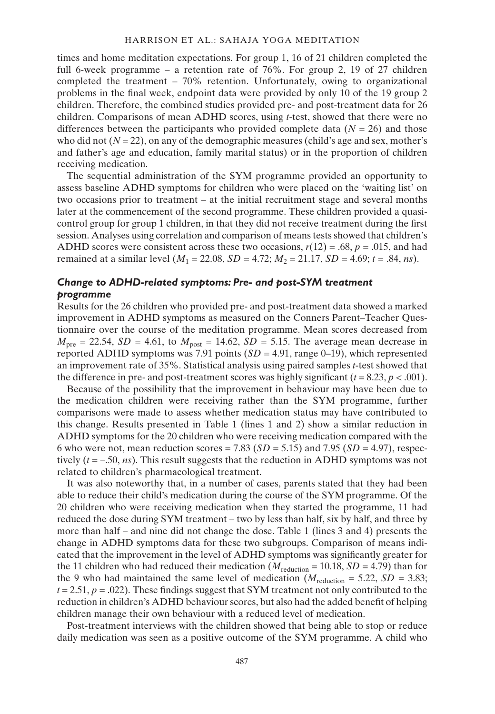times and home meditation expectations. For group 1, 16 of 21 children completed the full 6-week programme – a retention rate of 76%. For group 2, 19 of 27 children completed the treatment – 70% retention. Unfortunately, owing to organizational problems in the final week, endpoint data were provided by only 10 of the 19 group 2 children. Therefore, the combined studies provided pre- and post-treatment data for 26 children. Comparisons of mean ADHD scores, using *t*-test, showed that there were no differences between the participants who provided complete data  $(N = 26)$  and those who did not  $(N = 22)$ , on any of the demographic measures (child's age and sex, mother's and father's age and education, family marital status) or in the proportion of children receiving medication.

The sequential administration of the SYM programme provided an opportunity to assess baseline ADHD symptoms for children who were placed on the 'waiting list' on two occasions prior to treatment – at the initial recruitment stage and several months later at the commencement of the second programme. These children provided a quasicontrol group for group 1 children, in that they did not receive treatment during the first session. Analyses using correlation and comparison of means tests showed that children's ADHD scores were consistent across these two occasions,  $r(12) = .68$ ,  $p = .015$ , and had remained at a similar level  $(M_1 = 22.08, SD = 4.72; M_2 = 21.17, SD = 4.69; t = .84, ns)$ .

# *Change to ADHD-related symptoms: Pre- and post-SYM treatment programme*

Results for the 26 children who provided pre- and post-treatment data showed a marked improvement in ADHD symptoms as measured on the Conners Parent–Teacher Questionnaire over the course of the meditation programme. Mean scores decreased from  $M_{\text{pre}} = 22.54$ , *SD* = 4.61, to  $M_{\text{post}} = 14.62$ , *SD* = 5.15. The average mean decrease in reported ADHD symptoms was 7.91 points  $(SD = 4.91$ , range 0–19), which represented an improvement rate of 35%. Statistical analysis using paired samples *t*-test showed that the difference in pre- and post-treatment scores was highly significant  $(t = 8.23, p < .001)$ .

Because of the possibility that the improvement in behaviour may have been due to the medication children were receiving rather than the SYM programme, further comparisons were made to assess whether medication status may have contributed to this change. Results presented in Table 1 (lines 1 and 2) show a similar reduction in ADHD symptoms for the 20 children who were receiving medication compared with the 6 who were not, mean reduction scores = 7.83  $(SD = 5.15)$  and 7.95  $(SD = 4.97)$ , respectively  $(t = -.50, ns)$ . This result suggests that the reduction in ADHD symptoms was not related to children's pharmacological treatment.

It was also noteworthy that, in a number of cases, parents stated that they had been able to reduce their child's medication during the course of the SYM programme. Of the 20 children who were receiving medication when they started the programme, 11 had reduced the dose during SYM treatment – two by less than half, six by half, and three by more than half – and nine did not change the dose. Table 1 (lines 3 and 4) presents the change in ADHD symptoms data for these two subgroups. Comparison of means indicated that the improvement in the level of ADHD symptoms was significantly greater for the 11 children who had reduced their medication ( $M_{\text{reduction}} = 10.18$ ,  $SD = 4.79$ ) than for the 9 who had maintained the same level of medication ( $M_{\text{reduction}} = 5.22$ ,  $SD = 3.83$ ;  $t = 2.51$ ,  $p = .022$ ). These findings suggest that SYM treatment not only contributed to the reduction in children's ADHD behaviour scores, but also had the added benefit of helping children manage their own behaviour with a reduced level of medication.

Post-treatment interviews with the children showed that being able to stop or reduce daily medication was seen as a positive outcome of the SYM programme. A child who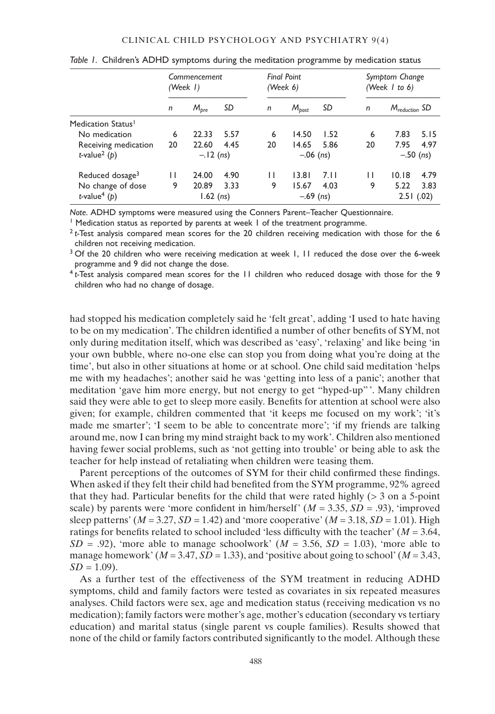|                                | Commencement<br>(Week $I$ ) |                  |      | <b>Final Point</b><br>(Week $6$ ) |                   |      | Symptom Change<br>(Week $I$ to $6$ ) |                    |      |  |
|--------------------------------|-----------------------------|------------------|------|-----------------------------------|-------------------|------|--------------------------------------|--------------------|------|--|
|                                | n                           | $M_{\text{bre}}$ | SD   | n                                 | $M_{\text{post}}$ | SD   | n                                    | $M_{reduction}$ SD |      |  |
| Medication Status <sup>1</sup> |                             |                  |      |                                   |                   |      |                                      |                    |      |  |
| No medication                  | 6                           | 22.33            | 5.57 | 6                                 | 14.50             | 1.52 | 6                                    | 7.83               | 5.15 |  |
| Receiving medication           | 20                          | 22.60            | 4.45 | 20                                | 14.65             | 5.86 | 20                                   | 7.95               | 4.97 |  |
| t-value <sup>2</sup> ( $p$ )   |                             | $-.12$ (ns)      |      |                                   | $-.06$ (ns)       |      |                                      | $-.50$ (ns)        |      |  |
| Reduced dosage <sup>3</sup>    | Н                           | 24.00            | 4.90 | Н                                 | 13.81             | 7.11 | Н                                    | 10.18              | 4.79 |  |
| No change of dose              | 9                           | 20.89            | 3.33 | 9                                 | 15.67             | 4.03 | 9                                    | 5.22               | 3.83 |  |
| t-value <sup>4</sup> ( $p$ )   |                             | $1.62$ (ns)      |      |                                   | $-.69$ (ns)       |      |                                      | 2.51(0.02)         |      |  |

*Table 1.* Children's ADHD symptoms during the meditation programme by medication status

*Note*. ADHD symptoms were measured using the Conners Parent–Teacher Questionnaire.

Medication status as reported by parents at week 1 of the treatment programme.

<sup>2</sup>*t-*Test analysis compared mean scores for the 20 children receiving medication with those for the 6 children not receiving medication.

<sup>3</sup> Of the 20 children who were receiving medication at week 1, 11 reduced the dose over the 6-week programme and 9 did not change the dose.

<sup>4</sup>*t-*Test analysis compared mean scores for the 11 children who reduced dosage with those for the 9 children who had no change of dosage.

had stopped his medication completely said he 'felt great', adding 'I used to hate having to be on my medication'. The children identified a number of other benefits of SYM, not only during meditation itself, which was described as 'easy', 'relaxing' and like being 'in your own bubble, where no-one else can stop you from doing what you're doing at the time', but also in other situations at home or at school. One child said meditation 'helps me with my headaches'; another said he was 'getting into less of a panic'; another that meditation 'gave him more energy, but not energy to get "hyped-up" '. Many children said they were able to get to sleep more easily. Benefits for attention at school were also given; for example, children commented that 'it keeps me focused on my work'; 'it's made me smarter'; 'I seem to be able to concentrate more'; 'if my friends are talking around me, now I can bring my mind straight back to my work'. Children also mentioned having fewer social problems, such as 'not getting into trouble' or being able to ask the teacher for help instead of retaliating when children were teasing them.

Parent perceptions of the outcomes of SYM for their child confirmed these findings. When asked if they felt their child had benefited from the SYM programme, 92% agreed that they had. Particular benefits for the child that were rated highly  $(> 3 \text{ on a } 5\text{-point})$ scale) by parents were 'more confident in him/herself'  $(M = 3.35, SD = .93)$ , 'improved sleep patterns'  $(M = 3.27, SD = 1.42)$  and 'more cooperative'  $(M = 3.18, SD = 1.01)$ . High ratings for benefits related to school included 'less difficulty with the teacher' ( $M = 3.64$ ,  $SD = .92$ ), 'more able to manage schoolwork' ( $M = 3.56$ ,  $SD = 1.03$ ), 'more able to manage homework' ( $M = 3.47$ ,  $SD = 1.33$ ), and 'positive about going to school' ( $M = 3.43$ ,  $SD = 1.09$ .

As a further test of the effectiveness of the SYM treatment in reducing ADHD symptoms, child and family factors were tested as covariates in six repeated measures analyses. Child factors were sex, age and medication status (receiving medication vs no medication); family factors were mother's age, mother's education (secondary vs tertiary education) and marital status (single parent vs couple families). Results showed that none of the child or family factors contributed significantly to the model. Although these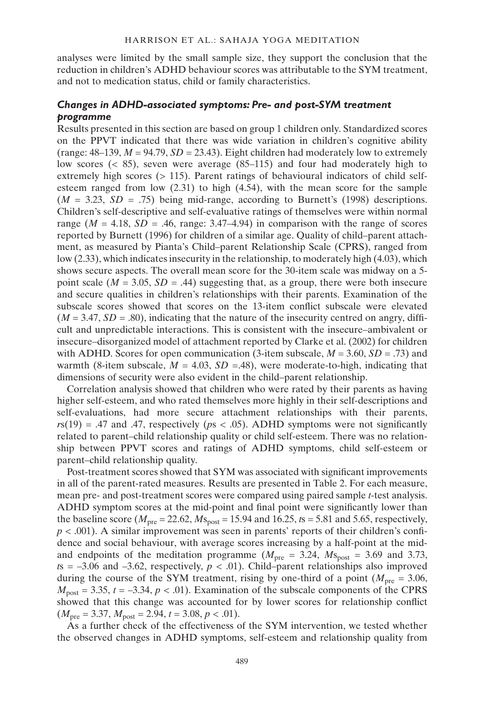analyses were limited by the small sample size, they support the conclusion that the reduction in children's ADHD behaviour scores was attributable to the SYM treatment, and not to medication status, child or family characteristics.

# *Changes in ADHD-associated symptoms: Pre- and post-SYM treatment programme*

Results presented in this section are based on group 1 children only. Standardized scores on the PPVT indicated that there was wide variation in children's cognitive ability (range:  $48-139$ ,  $M = 94.79$ ,  $SD = 23.43$ ). Eight children had moderately low to extremely low scores (< 85), seven were average (85–115) and four had moderately high to extremely high scores (> 115). Parent ratings of behavioural indicators of child selfesteem ranged from low (2.31) to high (4.54), with the mean score for the sample  $(M = 3.23, SD = .75)$  being mid-range, according to Burnett's (1998) descriptions. Children's self-descriptive and self-evaluative ratings of themselves were within normal range  $(M = 4.18, SD = .46$ , range: 3.47–4.94) in comparison with the range of scores reported by Burnett (1996) for children of a similar age. Quality of child–parent attachment, as measured by Pianta's Child–parent Relationship Scale (CPRS), ranged from low (2.33), which indicates insecurity in the relationship, to moderately high (4.03), which shows secure aspects. The overall mean score for the 30-item scale was midway on a 5 point scale ( $M = 3.05$ ,  $SD = .44$ ) suggesting that, as a group, there were both insecure and secure qualities in children's relationships with their parents. Examination of the subscale scores showed that scores on the 13-item conflict subscale were elevated  $(M = 3.47, SD = .80)$ , indicating that the nature of the insecurity centred on angry, difficult and unpredictable interactions. This is consistent with the insecure–ambivalent or insecure–disorganized model of attachment reported by Clarke et al. (2002) for children with ADHD. Scores for open communication (3-item subscale,  $M = 3.60$ ,  $SD = .73$ ) and warmth (8-item subscale,  $M = 4.03$ ,  $SD = .48$ ), were moderate-to-high, indicating that dimensions of security were also evident in the child–parent relationship.

Correlation analysis showed that children who were rated by their parents as having higher self-esteem, and who rated themselves more highly in their self-descriptions and self-evaluations, had more secure attachment relationships with their parents,  $r s(19) = .47$  and .47, respectively ( $p s < .05$ ). ADHD symptoms were not significantly related to parent–child relationship quality or child self-esteem. There was no relationship between PPVT scores and ratings of ADHD symptoms, child self-esteem or parent–child relationship quality.

Post-treatment scores showed that SYM was associated with significant improvements in all of the parent-rated measures. Results are presented in Table 2. For each measure, mean pre- and post-treatment scores were compared using paired sample *t*-test analysis. ADHD symptom scores at the mid-point and final point were significantly lower than the baseline score ( $M_{\text{pre}} = 22.62$ ,  $M_{\text{Spost}} = 15.94$  and 16.25,  $t_s = 5.81$  and 5.65, respectively,  $p < .001$ ). A similar improvement was seen in parents' reports of their children's confidence and social behaviour, with average scores increasing by a half-point at the midand endpoints of the meditation programme ( $M_{\text{pre}} = 3.24$ ,  $M_{\text{Spost}} = 3.69$  and 3.73,  $t = -3.06$  and  $-3.62$ , respectively,  $p < .01$ ). Child–parent relationships also improved during the course of the SYM treatment, rising by one-third of a point ( $M<sub>pre</sub> = 3.06$ ,  $M_{\text{post}} = 3.35$ ,  $t = -3.34$ ,  $p < .01$ ). Examination of the subscale components of the CPRS showed that this change was accounted for by lower scores for relationship conflict  $(M_{\text{pre}} = 3.37, M_{\text{post}} = 2.94, t = 3.08, p < .01).$ 

As a further check of the effectiveness of the SYM intervention, we tested whether the observed changes in ADHD symptoms, self-esteem and relationship quality from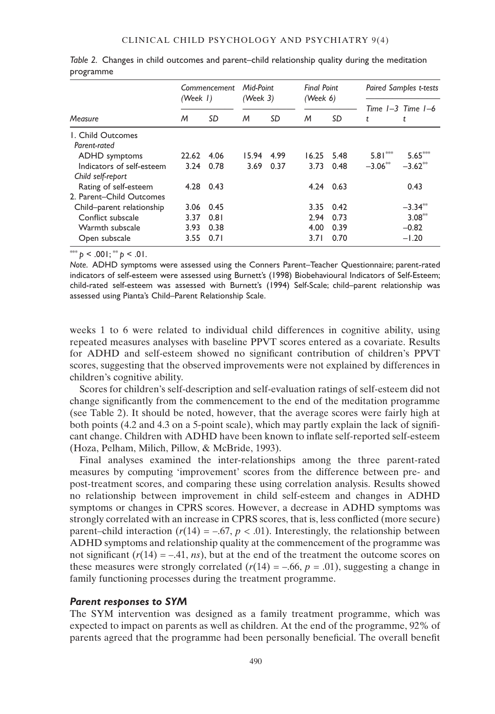|                                                   | Commencement<br>(Week $I$ ) |      | Mid-Point<br>(Week 3) |      | <b>Final Point</b><br>(Week $6$ ) |           | Paired Samples t-tests<br>Time $1-3$ Time $1-6$ |                       |
|---------------------------------------------------|-----------------------------|------|-----------------------|------|-----------------------------------|-----------|-------------------------------------------------|-----------------------|
|                                                   |                             |      |                       |      |                                   |           |                                                 |                       |
| Measure                                           | M                           | SD   | M                     | SD   | M                                 | SD        | t                                               | t                     |
| I. Child Outcomes<br>Parent-rated                 |                             |      |                       |      |                                   |           |                                                 |                       |
| <b>ADHD</b> symptoms                              | 22.62                       | 4.06 | 15.94                 | 4.99 | $16.25$ 5.48                      |           | $5.81***$                                       | $5.65***$             |
| Indicators of self-esteem<br>Child self-report    | 3.24                        | 0.78 | 3.69                  | 0.37 |                                   | 3.73 0.48 | $-3.06**$                                       | $-3.62$ <sup>**</sup> |
| Rating of self-esteem<br>2. Parent-Child Outcomes | 4.28 0.43                   |      |                       |      | 4.24 0.63                         |           |                                                 | 0.43                  |
| Child-parent relationship                         | 3.06                        | 0.45 |                       |      | 3.35 0.42                         |           |                                                 | $-3.34***$            |
| Conflict subscale                                 | 3.37                        | 0.81 |                       |      | 2.94                              | 0.73      |                                                 | $3.08***$             |
| Warmth subscale                                   | 3.93                        | 0.38 |                       |      | 4.00                              | 0.39      |                                                 | $-0.82$               |
| Open subscale                                     | 3.55                        | 0.71 |                       |      | 3.71                              | 0.70      |                                                 | $-1.20$               |

*Table 2.* Changes in child outcomes and parent–child relationship quality during the meditation programme

 $p^* p < 0.001$ ; \*\*  $p < 0.01$ .

*Note*. ADHD symptoms were assessed using the Conners Parent–Teacher Questionnaire; parent-rated indicators of self-esteem were assessed using Burnett's (1998) Biobehavioural Indicators of Self-Esteem; child-rated self-esteem was assessed with Burnett's (1994) Self-Scale; child–parent relationship was assessed using Pianta's Child–Parent Relationship Scale.

weeks 1 to 6 were related to individual child differences in cognitive ability, using repeated measures analyses with baseline PPVT scores entered as a covariate. Results for ADHD and self-esteem showed no significant contribution of children's PPVT scores, suggesting that the observed improvements were not explained by differences in children's cognitive ability.

Scores for children's self-description and self-evaluation ratings of self-esteem did not change significantly from the commencement to the end of the meditation programme (see Table 2). It should be noted, however, that the average scores were fairly high at both points (4.2 and 4.3 on a 5-point scale), which may partly explain the lack of significant change. Children with ADHD have been known to inflate self-reported self-esteem (Hoza, Pelham, Milich, Pillow, & McBride, 1993).

Final analyses examined the inter-relationships among the three parent-rated measures by computing 'improvement' scores from the difference between pre- and post-treatment scores, and comparing these using correlation analysis. Results showed no relationship between improvement in child self-esteem and changes in ADHD symptoms or changes in CPRS scores. However, a decrease in ADHD symptoms was strongly correlated with an increase in CPRS scores, that is, less conflicted (more secure) parent–child interaction  $(r(14) = -.67, p < .01)$ . Interestingly, the relationship between ADHD symptoms and relationship quality at the commencement of the programme was not significant  $(r(14) = -.41, ns)$ , but at the end of the treatment the outcome scores on these measures were strongly correlated  $(r(14) = -.66, p = .01)$ , suggesting a change in family functioning processes during the treatment programme.

# *Parent responses to SYM*

The SYM intervention was designed as a family treatment programme, which was expected to impact on parents as well as children. At the end of the programme, 92% of parents agreed that the programme had been personally beneficial. The overall benefit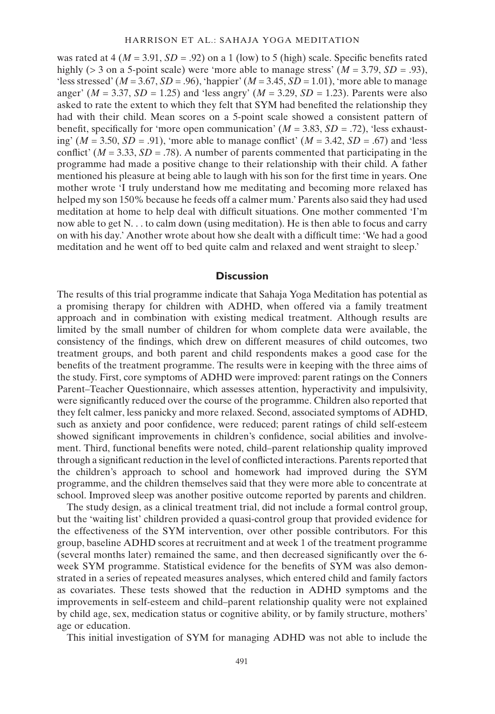was rated at  $4 (M = 3.91, SD = .92)$  on a 1 (low) to 5 (high) scale. Specific benefits rated highly ( $>$  3 on a 5-point scale) were 'more able to manage stress' ( $M = 3.79$ ,  $SD = .93$ ), 'less stressed' ( $M = 3.67$ ,  $SD = .96$ ), 'happier' ( $M = 3.45$ ,  $SD = 1.01$ ), 'more able to manage anger'  $(M = 3.37, SD = 1.25)$  and 'less angry'  $(M = 3.29, SD = 1.23)$ . Parents were also asked to rate the extent to which they felt that SYM had benefited the relationship they had with their child. Mean scores on a 5-point scale showed a consistent pattern of benefit, specifically for 'more open communication' ( $M = 3.83$ ,  $SD = .72$ ), 'less exhausting' (*M* = 3.50, *SD* = .91), 'more able to manage conflict' (*M* = 3.42, *SD* = .67) and 'less conflict'  $(M = 3.33, SD = .78)$ . A number of parents commented that participating in the programme had made a positive change to their relationship with their child. A father mentioned his pleasure at being able to laugh with his son for the first time in years. One mother wrote 'I truly understand how me meditating and becoming more relaxed has helped my son 150% because he feeds off a calmer mum.' Parents also said they had used meditation at home to help deal with difficult situations. One mother commented 'I'm now able to get N. . . to calm down (using meditation). He is then able to focus and carry on with his day.' Another wrote about how she dealt with a difficult time: 'We had a good meditation and he went off to bed quite calm and relaxed and went straight to sleep.'

### **Discussion**

The results of this trial programme indicate that Sahaja Yoga Meditation has potential as a promising therapy for children with ADHD, when offered via a family treatment approach and in combination with existing medical treatment. Although results are limited by the small number of children for whom complete data were available, the consistency of the findings, which drew on different measures of child outcomes, two treatment groups, and both parent and child respondents makes a good case for the benefits of the treatment programme. The results were in keeping with the three aims of the study. First, core symptoms of ADHD were improved: parent ratings on the Conners Parent–Teacher Questionnaire, which assesses attention, hyperactivity and impulsivity, were significantly reduced over the course of the programme. Children also reported that they felt calmer, less panicky and more relaxed. Second, associated symptoms of ADHD, such as anxiety and poor confidence, were reduced; parent ratings of child self-esteem showed significant improvements in children's confidence, social abilities and involvement. Third, functional benefits were noted, child–parent relationship quality improved through a significant reduction in the level of conflicted interactions. Parents reported that the children's approach to school and homework had improved during the SYM programme, and the children themselves said that they were more able to concentrate at school. Improved sleep was another positive outcome reported by parents and children.

The study design, as a clinical treatment trial, did not include a formal control group, but the 'waiting list' children provided a quasi-control group that provided evidence for the effectiveness of the SYM intervention, over other possible contributors. For this group, baseline ADHD scores at recruitment and at week 1 of the treatment programme (several months later) remained the same, and then decreased significantly over the 6 week SYM programme. Statistical evidence for the benefits of SYM was also demonstrated in a series of repeated measures analyses, which entered child and family factors as covariates. These tests showed that the reduction in ADHD symptoms and the improvements in self-esteem and child–parent relationship quality were not explained by child age, sex, medication status or cognitive ability, or by family structure, mothers' age or education.

This initial investigation of SYM for managing ADHD was not able to include the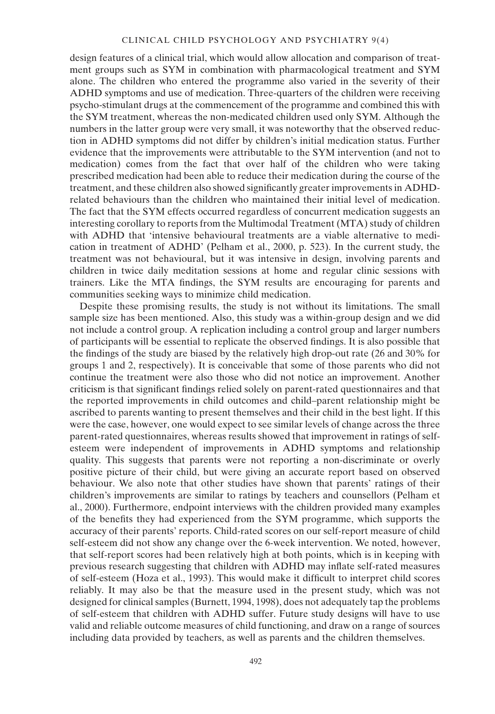design features of a clinical trial, which would allow allocation and comparison of treatment groups such as SYM in combination with pharmacological treatment and SYM alone. The children who entered the programme also varied in the severity of their ADHD symptoms and use of medication. Three-quarters of the children were receiving psycho-stimulant drugs at the commencement of the programme and combined this with the SYM treatment, whereas the non-medicated children used only SYM. Although the numbers in the latter group were very small, it was noteworthy that the observed reduction in ADHD symptoms did not differ by children's initial medication status. Further evidence that the improvements were attributable to the SYM intervention (and not to medication) comes from the fact that over half of the children who were taking prescribed medication had been able to reduce their medication during the course of the treatment, and these children also showed significantly greater improvements in ADHDrelated behaviours than the children who maintained their initial level of medication. The fact that the SYM effects occurred regardless of concurrent medication suggests an interesting corollary to reports from the Multimodal Treatment (MTA) study of children with ADHD that 'intensive behavioural treatments are a viable alternative to medication in treatment of ADHD' (Pelham et al., 2000, p. 523). In the current study, the treatment was not behavioural, but it was intensive in design, involving parents and children in twice daily meditation sessions at home and regular clinic sessions with trainers. Like the MTA findings, the SYM results are encouraging for parents and communities seeking ways to minimize child medication.

Despite these promising results, the study is not without its limitations. The small sample size has been mentioned. Also, this study was a within-group design and we did not include a control group. A replication including a control group and larger numbers of participants will be essential to replicate the observed findings. It is also possible that the findings of the study are biased by the relatively high drop-out rate (26 and 30% for groups 1 and 2, respectively). It is conceivable that some of those parents who did not continue the treatment were also those who did not notice an improvement. Another criticism is that significant findings relied solely on parent-rated questionnaires and that the reported improvements in child outcomes and child–parent relationship might be ascribed to parents wanting to present themselves and their child in the best light. If this were the case, however, one would expect to see similar levels of change across the three parent-rated questionnaires, whereas results showed that improvement in ratings of selfesteem were independent of improvements in ADHD symptoms and relationship quality. This suggests that parents were not reporting a non-discriminate or overly positive picture of their child, but were giving an accurate report based on observed behaviour. We also note that other studies have shown that parents' ratings of their children's improvements are similar to ratings by teachers and counsellors (Pelham et al., 2000). Furthermore, endpoint interviews with the children provided many examples of the benefits they had experienced from the SYM programme, which supports the accuracy of their parents' reports. Child-rated scores on our self-report measure of child self-esteem did not show any change over the 6-week intervention. We noted, however, that self-report scores had been relatively high at both points, which is in keeping with previous research suggesting that children with ADHD may inflate self-rated measures of self-esteem (Hoza et al., 1993). This would make it difficult to interpret child scores reliably. It may also be that the measure used in the present study, which was not designed for clinical samples (Burnett, 1994, 1998), does not adequately tap the problems of self-esteem that children with ADHD suffer. Future study designs will have to use valid and reliable outcome measures of child functioning, and draw on a range of sources including data provided by teachers, as well as parents and the children themselves.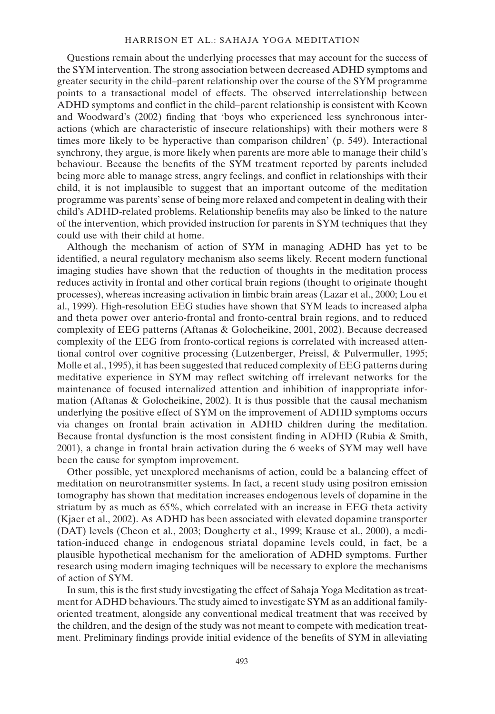Questions remain about the underlying processes that may account for the success of the SYM intervention. The strong association between decreased ADHD symptoms and greater security in the child–parent relationship over the course of the SYM programme points to a transactional model of effects. The observed interrelationship between ADHD symptoms and conflict in the child–parent relationship is consistent with Keown and Woodward's (2002) finding that 'boys who experienced less synchronous interactions (which are characteristic of insecure relationships) with their mothers were 8 times more likely to be hyperactive than comparison children' (p. 549). Interactional synchrony, they argue, is more likely when parents are more able to manage their child's behaviour. Because the benefits of the SYM treatment reported by parents included being more able to manage stress, angry feelings, and conflict in relationships with their child, it is not implausible to suggest that an important outcome of the meditation programme was parents' sense of being more relaxed and competent in dealing with their child's ADHD-related problems. Relationship benefits may also be linked to the nature of the intervention, which provided instruction for parents in SYM techniques that they could use with their child at home.

Although the mechanism of action of SYM in managing ADHD has yet to be identified, a neural regulatory mechanism also seems likely. Recent modern functional imaging studies have shown that the reduction of thoughts in the meditation process reduces activity in frontal and other cortical brain regions (thought to originate thought processes), whereas increasing activation in limbic brain areas (Lazar et al., 2000; Lou et al., 1999). High-resolution EEG studies have shown that SYM leads to increased alpha and theta power over anterio-frontal and fronto-central brain regions, and to reduced complexity of EEG patterns (Aftanas & Golocheikine, 2001, 2002). Because decreased complexity of the EEG from fronto-cortical regions is correlated with increased attentional control over cognitive processing (Lutzenberger, Preissl, & Pulvermuller, 1995; Molle et al., 1995), it has been suggested that reduced complexity of EEG patterns during meditative experience in SYM may reflect switching off irrelevant networks for the maintenance of focused internalized attention and inhibition of inappropriate information (Aftanas  $\&$  Golocheikine, 2002). It is thus possible that the causal mechanism underlying the positive effect of SYM on the improvement of ADHD symptoms occurs via changes on frontal brain activation in ADHD children during the meditation. Because frontal dysfunction is the most consistent finding in ADHD (Rubia & Smith, 2001), a change in frontal brain activation during the 6 weeks of SYM may well have been the cause for symptom improvement.

Other possible, yet unexplored mechanisms of action, could be a balancing effect of meditation on neurotransmitter systems. In fact, a recent study using positron emission tomography has shown that meditation increases endogenous levels of dopamine in the striatum by as much as 65%, which correlated with an increase in EEG theta activity (Kjaer et al., 2002). As ADHD has been associated with elevated dopamine transporter (DAT) levels (Cheon et al., 2003; Dougherty et al., 1999; Krause et al., 2000), a meditation-induced change in endogenous striatal dopamine levels could, in fact, be a plausible hypothetical mechanism for the amelioration of ADHD symptoms. Further research using modern imaging techniques will be necessary to explore the mechanisms of action of SYM.

In sum, this is the first study investigating the effect of Sahaja Yoga Meditation as treatment for ADHD behaviours. The study aimed to investigate SYM as an additional familyoriented treatment, alongside any conventional medical treatment that was received by the children, and the design of the study was not meant to compete with medication treatment. Preliminary findings provide initial evidence of the benefits of SYM in alleviating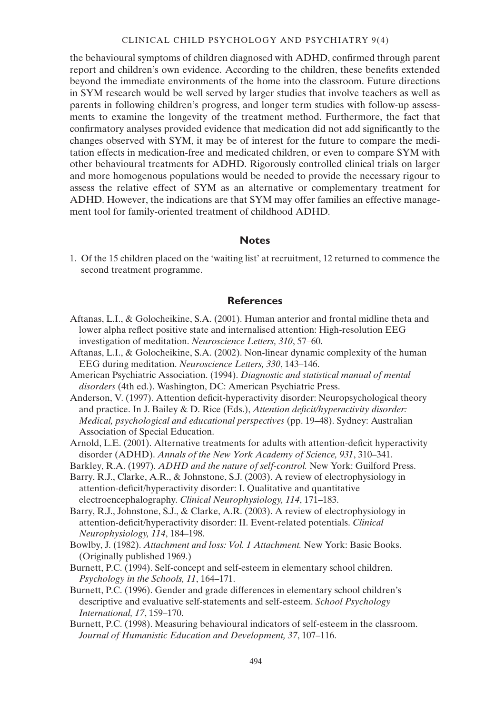the behavioural symptoms of children diagnosed with ADHD, confirmed through parent report and children's own evidence. According to the children, these benefits extended beyond the immediate environments of the home into the classroom. Future directions in SYM research would be well served by larger studies that involve teachers as well as parents in following children's progress, and longer term studies with follow-up assessments to examine the longevity of the treatment method. Furthermore, the fact that confirmatory analyses provided evidence that medication did not add significantly to the changes observed with SYM, it may be of interest for the future to compare the meditation effects in medication-free and medicated children, or even to compare SYM with other behavioural treatments for ADHD. Rigorously controlled clinical trials on larger and more homogenous populations would be needed to provide the necessary rigour to assess the relative effect of SYM as an alternative or complementary treatment for ADHD. However, the indications are that SYM may offer families an effective management tool for family-oriented treatment of childhood ADHD.

# **Notes**

1. Of the 15 children placed on the 'waiting list' at recruitment, 12 returned to commence the second treatment programme.

# **References**

- Aftanas, L.I., & Golocheikine, S.A. (2001). Human anterior and frontal midline theta and lower alpha reflect positive state and internalised attention: High-resolution EEG investigation of meditation. *Neuroscience Letters, 310*, 57–60.
- Aftanas, L.I., & Golocheikine, S.A. (2002). Non-linear dynamic complexity of the human EEG during meditation. *Neuroscience Letters, 330*, 143–146.
- American Psychiatric Association. (1994). *Diagnostic and statistical manual of mental disorders* (4th ed.). Washington, DC: American Psychiatric Press.
- Anderson, V. (1997). Attention deficit-hyperactivity disorder: Neuropsychological theory and practice. In J. Bailey & D. Rice (Eds.), *Attention deficit/hyperactivity disorder: Medical, psychological and educational perspectives* (pp. 19–48). Sydney: Australian Association of Special Education.
- Arnold, L.E. (2001). Alternative treatments for adults with attention-deficit hyperactivity disorder (ADHD). *Annals of the New York Academy of Science, 931*, 310–341.

Barkley, R.A. (1997). *ADHD and the nature of self-control.* New York: Guilford Press.

- Barry, R.J., Clarke, A.R., & Johnstone, S.J. (2003). A review of electrophysiology in attention-deficit/hyperactivity disorder: I. Qualitative and quantitative electroencephalography. *Clinical Neurophysiology, 114*, 171–183.
- Barry, R.J., Johnstone, S.J., & Clarke, A.R. (2003). A review of electrophysiology in attention-deficit/hyperactivity disorder: II. Event-related potentials. *Clinical Neurophysiology, 114*, 184–198.
- Bowlby, J. (1982). *Attachment and loss: Vol. 1 Attachment.* New York: Basic Books. (Originally published 1969.)
- Burnett, P.C. (1994). Self-concept and self-esteem in elementary school children. *Psychology in the Schools, 11*, 164–171.
- Burnett, P.C. (1996). Gender and grade differences in elementary school children's descriptive and evaluative self-statements and self-esteem. *School Psychology International, 17*, 159–170.
- Burnett, P.C. (1998). Measuring behavioural indicators of self-esteem in the classroom. *Journal of Humanistic Education and Development, 37*, 107–116.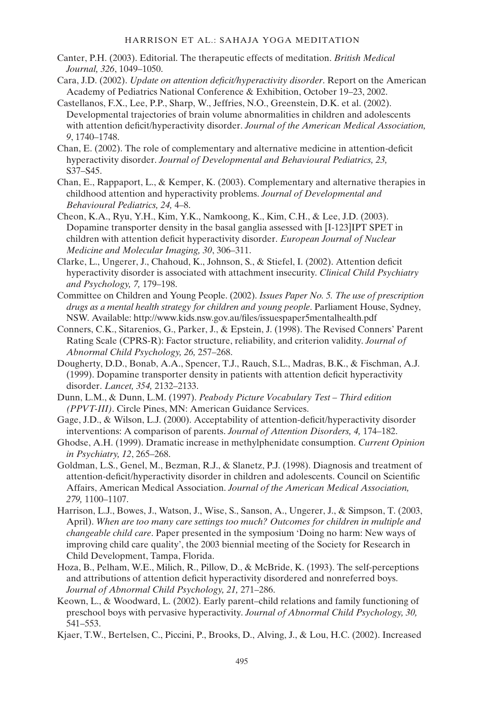- Canter, P.H. (2003). Editorial. The therapeutic effects of meditation. *British Medical Journal, 326*, 1049–1050.
- Cara, J.D. (2002). *Update on attention deficit/hyperactivity disorder*. Report on the American Academy of Pediatrics National Conference & Exhibition, October 19–23, 2002.
- Castellanos, F.X., Lee, P.P., Sharp, W., Jeffries, N.O., Greenstein, D.K. et al. (2002). Developmental trajectories of brain volume abnormalities in children and adolescents with attention deficit/hyperactivity disorder. *Journal of the American Medical Association, 9*, 1740–1748.
- Chan, E. (2002). The role of complementary and alternative medicine in attention-deficit hyperactivity disorder. *Journal of Developmental and Behavioural Pediatrics, 23,* S37–S45.
- Chan, E., Rappaport, L., & Kemper, K. (2003). Complementary and alternative therapies in childhood attention and hyperactivity problems. *Journal of Developmental and Behavioural Pediatrics, 24,* 4–8.
- Cheon, K.A., Ryu, Y.H., Kim, Y.K., Namkoong, K., Kim, C.H., & Lee, J.D. (2003). Dopamine transporter density in the basal ganglia assessed with [I-123]IPT SPET in children with attention deficit hyperactivity disorder. *European Journal of Nuclear Medicine and Molecular Imaging, 30*, 306–311.
- Clarke, L., Ungerer, J., Chahoud, K., Johnson, S., & Stiefel, I. (2002). Attention deficit hyperactivity disorder is associated with attachment insecurity. *Clinical Child Psychiatry and Psychology, 7,* 179–198.
- Committee on Children and Young People. (2002). *Issues Paper No. 5. The use of prescription drugs as a mental health strategy for children and young people*. Parliament House, Sydney, NSW. Available: http://www.kids.nsw.gov.au/files/issuespaper5mentalhealth.pdf
- Conners, C.K., Sitarenios, G., Parker, J., & Epstein, J. (1998). The Revised Conners' Parent Rating Scale (CPRS-R): Factor structure, reliability, and criterion validity. *Journal of Abnormal Child Psychology, 26,* 257–268.
- Dougherty, D.D., Bonab, A.A., Spencer, T.J., Rauch, S.L., Madras, B.K., & Fischman, A.J. (1999). Dopamine transporter density in patients with attention deficit hyperactivity disorder. *Lancet, 354,* 2132–2133.
- Dunn, L.M., & Dunn, L.M. (1997). *Peabody Picture Vocabulary Test Third edition (PPVT-III)*. Circle Pines, MN: American Guidance Services.
- Gage, J.D., & Wilson, L.J. (2000). Acceptability of attention-deficit/hyperactivity disorder interventions: A comparison of parents. *Journal of Attention Disorders, 4,* 174–182.
- Ghodse, A.H. (1999). Dramatic increase in methylphenidate consumption. *Current Opinion in Psychiatry, 12*, 265–268.
- Goldman, L.S., Genel, M., Bezman, R.J., & Slanetz, P.J. (1998). Diagnosis and treatment of attention-deficit/hyperactivity disorder in children and adolescents. Council on Scientific Affairs, American Medical Association. *Journal of the American Medical Association, 279,* 1100–1107.
- Harrison, L.J., Bowes, J., Watson, J., Wise, S., Sanson, A., Ungerer, J., & Simpson, T. (2003, April). *When are too many care settings too much? Outcomes for children in multiple and changeable child care*. Paper presented in the symposium 'Doing no harm: New ways of improving child care quality', the 2003 biennial meeting of the Society for Research in Child Development, Tampa, Florida.
- Hoza, B., Pelham, W.E., Milich, R., Pillow, D., & McBride, K. (1993). The self-perceptions and attributions of attention deficit hyperactivity disordered and nonreferred boys. *Journal of Abnormal Child Psychology, 21,* 271–286.
- Keown, L., & Woodward, L. (2002). Early parent–child relations and family functioning of preschool boys with pervasive hyperactivity. *Journal of Abnormal Child Psychology, 30,* 541–553.
- Kjaer, T.W., Bertelsen, C., Piccini, P., Brooks, D., Alving, J., & Lou, H.C. (2002). Increased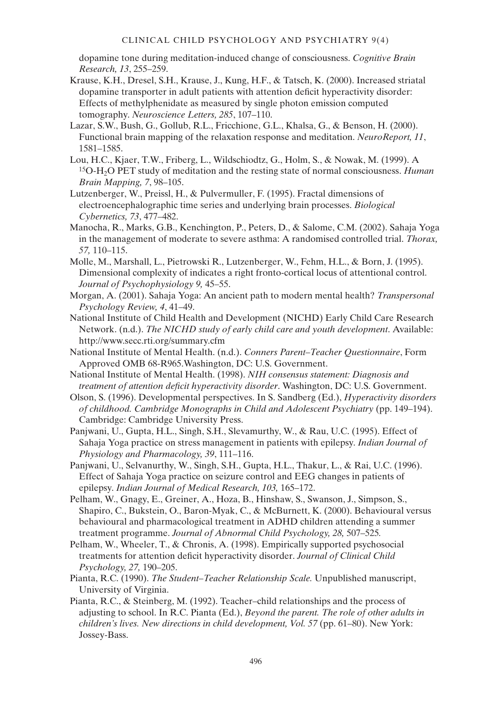dopamine tone during meditation-induced change of consciousness. *Cognitive Brain Research, 13*, 255–259.

- Krause, K.H., Dresel, S.H., Krause, J., Kung, H.F., & Tatsch, K. (2000). Increased striatal dopamine transporter in adult patients with attention deficit hyperactivity disorder: Effects of methylphenidate as measured by single photon emission computed tomography. *Neuroscience Letters, 285*, 107–110.
- Lazar, S.W., Bush, G., Gollub, R.L., Fricchione, G.L., Khalsa, G., & Benson, H. (2000). Functional brain mapping of the relaxation response and meditation. *NeuroReport, 11*, 1581–1585.
- Lou, H.C., Kjaer, T.W., Friberg, L., Wildschiodtz, G., Holm, S., & Nowak, M. (1999). A 15O-H2O PET study of meditation and the resting state of normal consciousness. *Human Brain Mapping, 7*, 98–105.
- Lutzenberger, W., Preissl, H., & Pulvermuller, F. (1995). Fractal dimensions of electroencephalographic time series and underlying brain processes. *Biological Cybernetics, 73*, 477–482.
- Manocha, R., Marks, G.B., Kenchington, P., Peters, D., & Salome, C.M. (2002). Sahaja Yoga in the management of moderate to severe asthma: A randomised controlled trial. *Thorax, 57,* 110–115.
- Molle, M., Marshall, L., Pietrowski R., Lutzenberger, W., Fehm, H.L., & Born, J. (1995). Dimensional complexity of indicates a right fronto-cortical locus of attentional control. *Journal of Psychophysiology 9,* 45–55.
- Morgan, A. (2001). Sahaja Yoga: An ancient path to modern mental health? *Transpersonal Psychology Review, 4*, 41–49.
- National Institute of Child Health and Development (NICHD) Early Child Care Research Network. (n.d.). *The NICHD study of early child care and youth development*. Available: http://www.secc.rti.org/summary.cfm
- National Institute of Mental Health. (n.d.). *Conners Parent–Teacher Questionnaire*, Form Approved OMB 68-R965.Washington, DC: U.S. Government.
- National Institute of Mental Health. (1998). *NIH consensus statement: Diagnosis and treatment of attention deficit hyperactivity disorder*. Washington, DC: U.S. Government.
- Olson, S. (1996). Developmental perspectives. In S. Sandberg (Ed.), *Hyperactivity disorders of childhood. Cambridge Monographs in Child and Adolescent Psychiatry* (pp. 149–194). Cambridge: Cambridge University Press.
- Panjwani, U., Gupta, H.L., Singh, S.H., Slevamurthy, W., & Rau, U.C. (1995). Effect of Sahaja Yoga practice on stress management in patients with epilepsy. *Indian Journal of Physiology and Pharmacology, 39*, 111–116.
- Panjwani, U., Selvanurthy, W., Singh, S.H., Gupta, H.L., Thakur, L., & Rai, U.C. (1996). Effect of Sahaja Yoga practice on seizure control and EEG changes in patients of epilepsy. *Indian Journal of Medical Research, 103,* 165–172.
- Pelham, W., Gnagy, E., Greiner, A., Hoza, B., Hinshaw, S., Swanson, J., Simpson, S., Shapiro, C., Bukstein, O., Baron-Myak, C., & McBurnett, K. (2000). Behavioural versus behavioural and pharmacological treatment in ADHD children attending a summer treatment programme. *Journal of Abnormal Child Psychology, 28,* 507–525*.*
- Pelham, W., Wheeler, T., & Chronis, A. (1998). Empirically supported psychosocial treatments for attention deficit hyperactivity disorder. *Journal of Clinical Child Psychology, 27,* 190–205.
- Pianta, R.C. (1990). *The Student–Teacher Relationship Scale.* Unpublished manuscript, University of Virginia.
- Pianta, R.C., & Steinberg, M. (1992). Teacher–child relationships and the process of adjusting to school. In R.C. Pianta (Ed.), *Beyond the parent. The role of other adults in children's lives. New directions in child development, Vol. 57* (pp. 61–80). New York: Jossey-Bass.